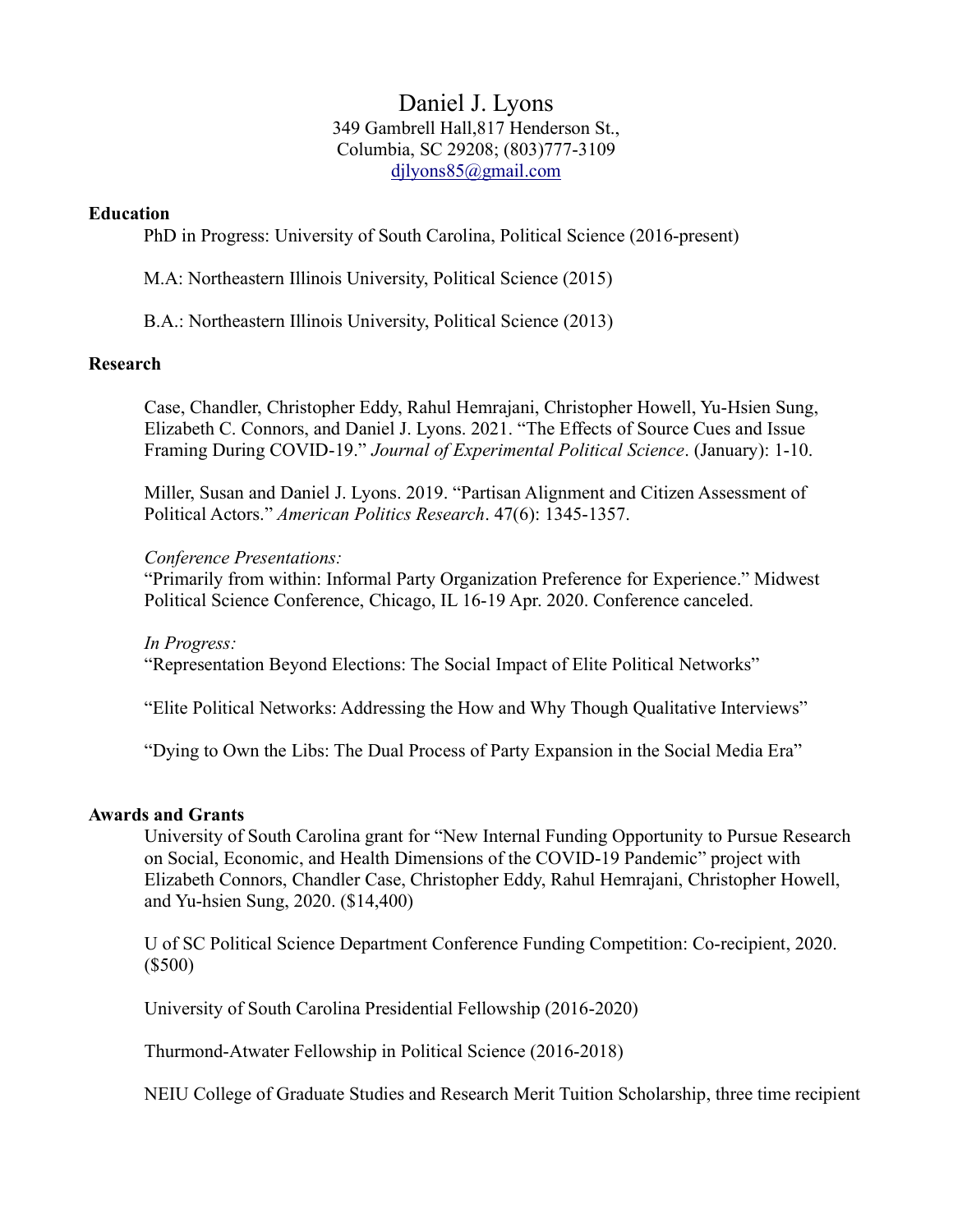# Daniel J. Lyons 349 Gambrell Hall,817 Henderson St., Columbia, SC 29208; (803)777-3109 djlyons85@gmail.com

## Education

PhD in Progress: University of South Carolina, Political Science (2016-present)

M.A: Northeastern Illinois University, Political Science (2015)

B.A.: Northeastern Illinois University, Political Science (2013)

#### Research

Case, Chandler, Christopher Eddy, Rahul Hemrajani, Christopher Howell, Yu-Hsien Sung, Elizabeth C. Connors, and Daniel J. Lyons. 2021. "The Effects of Source Cues and Issue Framing During COVID-19." Journal of Experimental Political Science. (January): 1-10.

Miller, Susan and Daniel J. Lyons. 2019. "Partisan Alignment and Citizen Assessment of Political Actors." American Politics Research. 47(6): 1345-1357.

#### Conference Presentations:

"Primarily from within: Informal Party Organization Preference for Experience." Midwest Political Science Conference, Chicago, IL 16-19 Apr. 2020. Conference canceled.

In Progress:

"Representation Beyond Elections: The Social Impact of Elite Political Networks"

"Elite Political Networks: Addressing the How and Why Though Qualitative Interviews"

"Dying to Own the Libs: The Dual Process of Party Expansion in the Social Media Era"

## Awards and Grants

University of South Carolina grant for "New Internal Funding Opportunity to Pursue Research on Social, Economic, and Health Dimensions of the COVID-19 Pandemic" project with Elizabeth Connors, Chandler Case, Christopher Eddy, Rahul Hemrajani, Christopher Howell, and Yu-hsien Sung, 2020. (\$14,400)

U of SC Political Science Department Conference Funding Competition: Co-recipient, 2020. (\$500)

University of South Carolina Presidential Fellowship (2016-2020)

Thurmond-Atwater Fellowship in Political Science (2016-2018)

NEIU College of Graduate Studies and Research Merit Tuition Scholarship, three time recipient